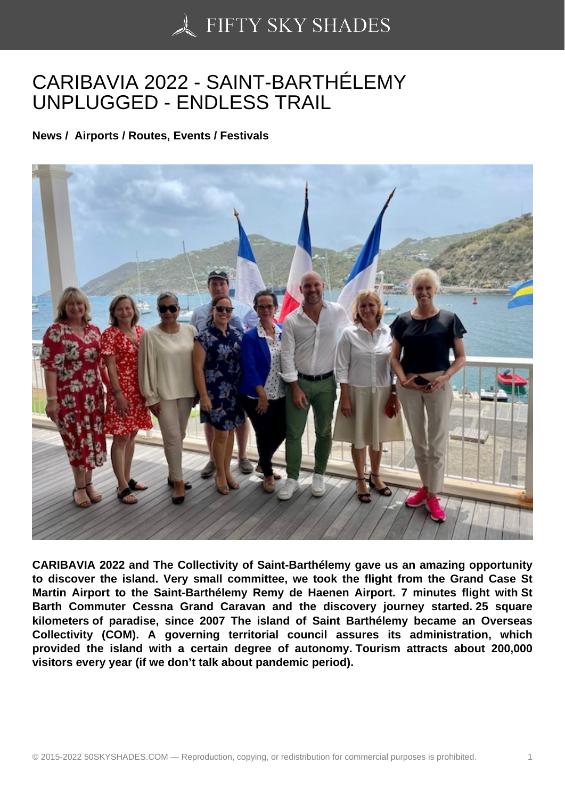## [CARIBAVIA 2022 - SA](https://50skyshades.com)INT-BARTHÉLEMY UNPLUGGED - ENDLESS TRAIL

News / Airports / Routes, Events / Festivals

CARIBAVIA 2022 and The Collectivity of Saint-Barthélemy gave us an amazing opportunity to discover the island. Very small committee, we took the flight from the Grand Case St Martin Airport to the Saint-Barthélemy Remy de Haenen Airport. 7 minutes flight with St Barth Commuter Cessna Grand Caravan and the discovery journey started. 25 square kilometers of paradise, since 2007 The island of Saint Barthélemy became an Overseas Collectivity (COM). A governing territorial council assures its administration, which provided the island with a certain degree of autonomy. Tourism attracts about 200,000 visitors every year (if we don't talk about pandemic period).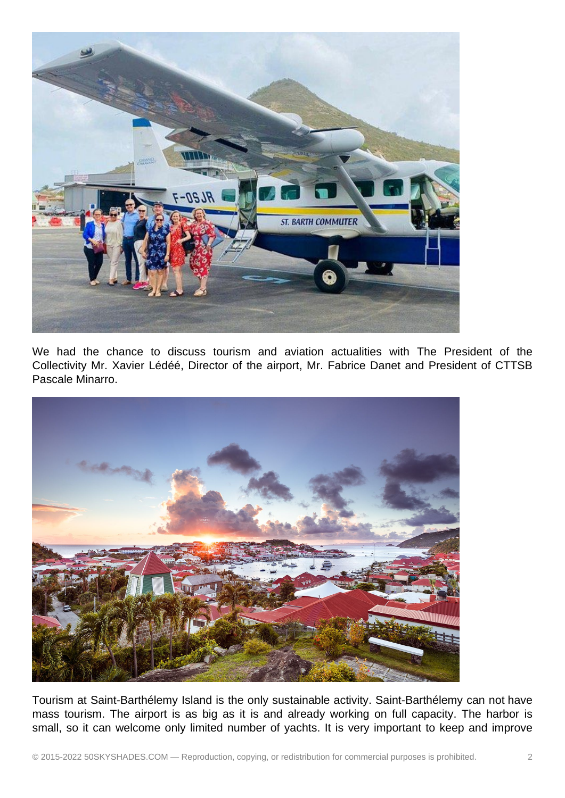

We had the chance to discuss tourism and aviation actualities with The President of the Collectivity Mr. Xavier Lédéé, Director of the airport, Mr. Fabrice Danet and President of CTTSB Pascale Minarro.



Tourism at Saint-Barthélemy Island is the only sustainable activity. Saint-Barthélemy can not have mass tourism. The airport is as big as it is and already working on full capacity. The harbor is small, so it can welcome only limited number of yachts. It is very important to keep and improve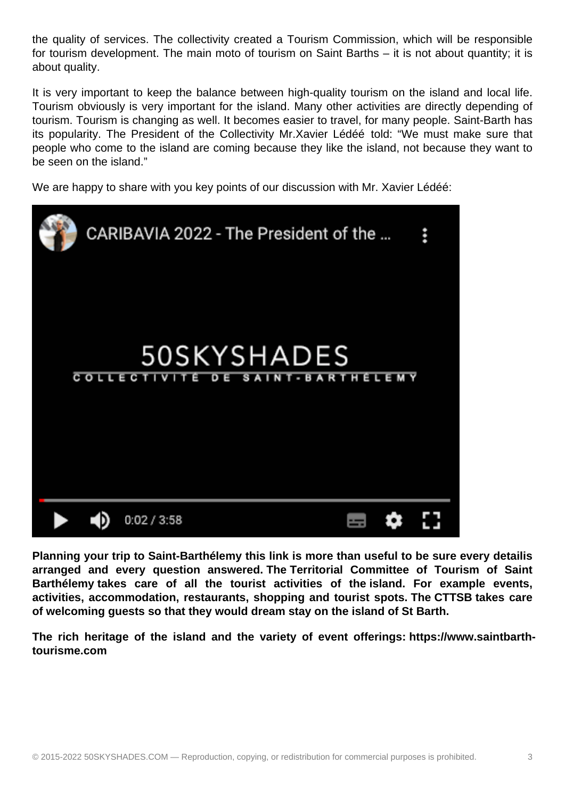for tourism development. The main moto of tourism on Saint Barths – it is not about quantity; it is about quality.

It is very important to keep the balance between high-quality tourism on the island and local life. Tourism obviously is very important for the island. Many other activities are directly depending of tourism. Tourism is changing as well. It becomes easier to travel, for many people. Saint-Barth has its popularity. The President of the Collectivity Mr.Xavier Lédéé told: "We must make sure that people who come to the island are coming because they like the island, not because they want to be seen on the island."

We are happy to share with you key points of our discussion with Mr. Xavier Lédéé:

[Planning your trip to Saint-Barthélemy this link is more than useful to be sure every d](https://www.youtube.com/watch?v=WYzQOQB1JRU&t=1s)etailis arranged and every question answered. The Territorial Committee of Tourism of Saint Barthélemy takes care of all the tourist activities of the island. For example events, activities, accommodation, restaurants, shopping and tourist spots. The CTTSB takes care of welcoming guests so that they would dream stay on the island of St Barth.

The rich heritage of the island and the variety of event offerings: https://www.saintbarthtourisme.com